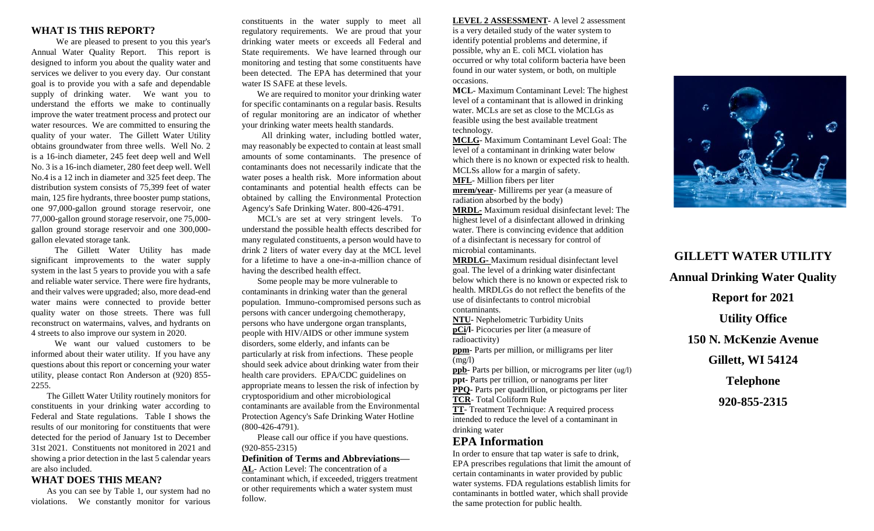### **WHAT IS THIS REPORT?**

We are pleased to present to you this year's Annual Water Quality Report. This report is designed to inform you about the quality water and services we deliver to you every day. Our constant goal is to provide you with a safe and dependable supply of drinking water. We want you to understand the efforts we make to continually improve the water treatment process and protect our water resources. We are committed to ensuring the quality of your water. The Gillett Water Utility obtains groundwater from three wells. Well No. 2 is a 16-inch diameter, 245 feet deep well and Well No. 3 is a 16-inch diameter, 280 feet deep well. Well No.4 is a 12 inch in diameter and 325 feet deep. The distribution system consists of 75,399 feet of water main, 125 fire hydrants, three booster pump stations, one 97,000-gallon ground storage reservoir, one 77,000-gallon ground storage reservoir, one 75,000 gallon ground storage reservoir and one 300,000 gallon elevated storage tank.

The Gillett Water Utility has made significant improvements to the water supply system in the last 5 years to provide you with a safe and reliable water service. There were fire hydrants, and their valves were upgraded; also, more dead-end water mains were connected to provide better quality water on those streets. There was full reconstruct on watermains, valves, and hydrants on 4 streets to also improve our system in 2020.

We want our valued customers to be informed about their water utility. If you have any questions about this report or concerning your water utility, please contact Ron Anderson at (920) 855- 2255.

The Gillett Water Utility routinely monitors for constituents in your drinking water according to Federal and State regulations. Table I shows the results of our monitoring for constituents that were detected for the period of January 1st to December 31st 2021. Constituents not monitored in 2021 and showing a prior detection in the last 5 calendar years are also included.

### **WHAT DOES THIS MEAN?**

As you can see by Table 1, our system had no violations. We constantly monitor for various

constituents in the water supply to meet all regulatory requirements. We are proud that your drinking water meets or exceeds all Federal and State requirements. We have learned through our monitoring and testing that some constituents have been detected. The EPA has determined that your water IS SAFE at these levels.

 We are required to monitor your drinking water for specific contaminants on a regular basis. Results of regular monitoring are an indicator of whether your drinking water meets health standards.

 All drinking water, including bottled water, may reasonably be expected to contain at least small amounts of some contaminants. The presence of contaminants does not necessarily indicate that the water poses a health risk. More information about contaminants and potential health effects can be obtained by calling the Environmental Protection Agency's Safe Drinking Water. 800-426-4791.

MCL's are set at very stringent levels. To understand the possible health effects described for many regulated constituents, a person would have to drink 2 liters of water every day at the MCL level for a lifetime to have a one-in-a-million chance of having the described health effect.

Some people may be more vulnerable to contaminants in drinking water than the general population. Immuno-compromised persons such as persons with cancer undergoing chemotherapy, persons who have undergone organ transplants, people with HIV/AIDS or other immune system disorders, some elderly, and infants can be particularly at risk from infections. These people should seek advice about drinking water from their health care providers. EPA/CDC guidelines on appropriate means to lessen the risk of infection by cryptosporidium and other microbiological contaminants are available from the Environmental Protection Agency's Safe Drinking Water Hotline (800-426-4791).

Please call our office if you have questions. (920-855-2315)

#### **Definition of Terms and Abbreviations—**

**AL**- Action Level: The concentration of a contaminant which, if exceeded, triggers treatment or other requirements which a water system must follow.

**LEVEL 2 ASSESSMENT-** A level 2 assessment is a very detailed study of the water system to identify potential problems and determine, if possible, why an E. coli MCL violation has occurred or why total coliform bacteria have been found in our water system, or both, on multiple occasions.

**MCL**- Maximum Contaminant Level: The highest level of a contaminant that is allowed in drinking water. MCLs are set as close to the MCLGs as feasible using the best available treatment technology.

**MCLG**- Maximum Contaminant Level Goal: The level of a contaminant in drinking water below which there is no known or expected risk to health. MCLSs allow for a margin of safety.

**MFL**- Million fibers per liter

**mrem/year**- Millirems per year (a measure of radiation absorbed by the body)

**MRDL-** Maximum residual disinfectant level: The highest level of a disinfectant allowed in drinking water. There is convincing evidence that addition of a disinfectant is necessary for control of microbial contaminants.

**MRDLG-** Maximum residual disinfectant level goal. The level of a drinking water disinfectant below which there is no known or expected risk to health. MRDLGs do not reflect the benefits of the use of disinfectants to control microbial contaminants.

**NTU-** Nephelometric Turbidity Units

**pCi/l**- Picocuries per liter (a measure of radioactivity) **ppm**- Parts per million, or milligrams per liter  $(mg/l)$ 

**ppb-** Parts per billion, or micrograms per liter (ug/l) **ppt-** Parts per trillion, or nanograms per liter

**PPQ-** Parts per quadrillion, or pictograms per liter

**TCR**- Total Coliform Rule

**TT**- Treatment Technique: A required process intended to reduce the level of a contaminant in drinking water

### **EPA Information**

In order to ensure that tap water is safe to drink, EPA prescribes regulations that limit the amount of certain contaminants in water provided by public water systems. FDA regulations establish limits for contaminants in bottled water, which shall provide the same protection for public health.



# **GILLETT WATER UTILITY Annual Drinking Water Quality**

**Report for 2021**

**Utility Office**

**150 N. McKenzie Avenue**

**Gillett, WI 54124**

**Telephone**

**920-855-2315**